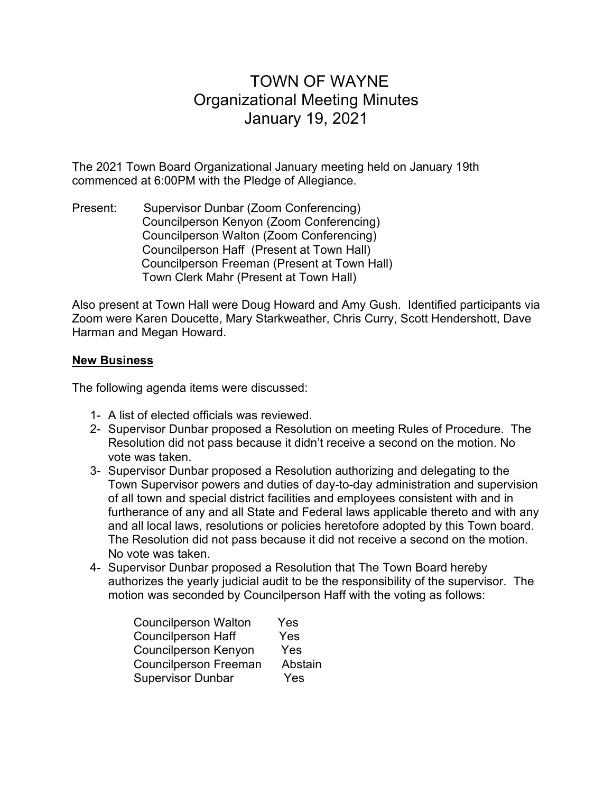## TOWN OF WAYNE Organizational Meeting Minutes January 19, 2021

The 2021 Town Board Organizational January meeting held on January 19th commenced at 6:00PM with the Pledge of Allegiance.

Present: Supervisor Dunbar (Zoom Conferencing) Councilperson Kenyon (Zoom Conferencing) Councilperson Walton (Zoom Conferencing) Councilperson Haff (Present at Town Hall) Councilperson Freeman (Present at Town Hall) Town Clerk Mahr (Present at Town Hall)

Also present at Town Hall were Doug Howard and Amy Gush. Identified participants via Zoom were Karen Doucette, Mary Starkweather, Chris Curry, Scott Hendershott, Dave Harman and Megan Howard.

## **New Business**

The following agenda items were discussed:

- 1- A list of elected officials was reviewed.
- 2- Supervisor Dunbar proposed a Resolution on meeting Rules of Procedure. The Resolution did not pass because it didn't receive a second on the motion. No vote was taken.
- 3- Supervisor Dunbar proposed a Resolution authorizing and delegating to the Town Supervisor powers and duties of day-to-day administration and supervision of all town and special district facilities and employees consistent with and in furtherance of any and all State and Federal laws applicable thereto and with any and all local laws, resolutions or policies heretofore adopted by this Town board. The Resolution did not pass because it did not receive a second on the motion. No vote was taken.
- 4- Supervisor Dunbar proposed a Resolution that The Town Board hereby authorizes the yearly judicial audit to be the responsibility of the supervisor. The motion was seconded by Councilperson Haff with the voting as follows:

| <b>Councilperson Walton</b>  | Yes     |
|------------------------------|---------|
| <b>Councilperson Haff</b>    | Yes     |
| <b>Councilperson Kenyon</b>  | Yes     |
| <b>Councilperson Freeman</b> | Abstain |
| <b>Supervisor Dunbar</b>     | Yes     |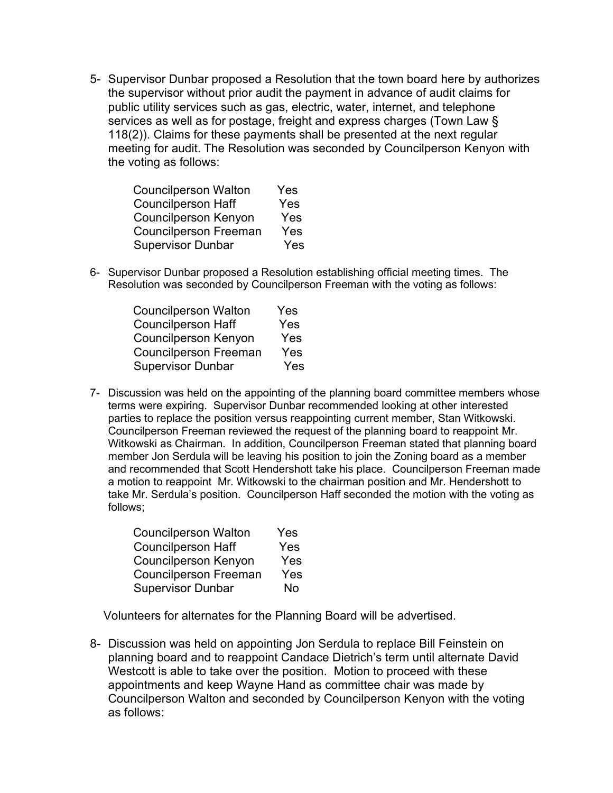5- Supervisor Dunbar proposed a Resolution that the town board here by authorizes the supervisor without prior audit the payment in advance of audit claims for public utility services such as gas, electric, water, internet, and telephone services as well as for postage, freight and express charges (Town Law § 118(2)). Claims for these payments shall be presented at the next regular meeting for audit. The Resolution was seconded by Councilperson Kenyon with the voting as follows:

| Yes |
|-----|
| Yes |
| Yes |
| Yes |
| Yes |
|     |

6- Supervisor Dunbar proposed a Resolution establishing official meeting times. The Resolution was seconded by Councilperson Freeman with the voting as follows:

| <b>Councilperson Walton</b>  | Yes |
|------------------------------|-----|
| <b>Councilperson Haff</b>    | Yes |
| <b>Councilperson Kenyon</b>  | Yes |
| <b>Councilperson Freeman</b> | Yes |
| <b>Supervisor Dunbar</b>     | Yes |

7- Discussion was held on the appointing of the planning board committee members whose terms were expiring. Supervisor Dunbar recommended looking at other interested parties to replace the position versus reappointing current member, Stan Witkowski. Councilperson Freeman reviewed the request of the planning board to reappoint Mr. Witkowski as Chairman. In addition, Councilperson Freeman stated that planning board member Jon Serdula will be leaving his position to join the Zoning board as a member and recommended that Scott Hendershott take his place. Councilperson Freeman made a motion to reappoint Mr. Witkowski to the chairman position and Mr. Hendershott to take Mr. Serdula's position. Councilperson Haff seconded the motion with the voting as follows;

| <b>Councilperson Walton</b>  | Yes |
|------------------------------|-----|
| <b>Councilperson Haff</b>    | Yes |
| <b>Councilperson Kenyon</b>  | Yes |
| <b>Councilperson Freeman</b> | Yes |
| <b>Supervisor Dunbar</b>     | No  |

Volunteers for alternates for the Planning Board will be advertised.

8- Discussion was held on appointing Jon Serdula to replace Bill Feinstein on planning board and to reappoint Candace Dietrich's term until alternate David Westcott is able to take over the position. Motion to proceed with these appointments and keep Wayne Hand as committee chair was made by Councilperson Walton and seconded by Councilperson Kenyon with the voting as follows: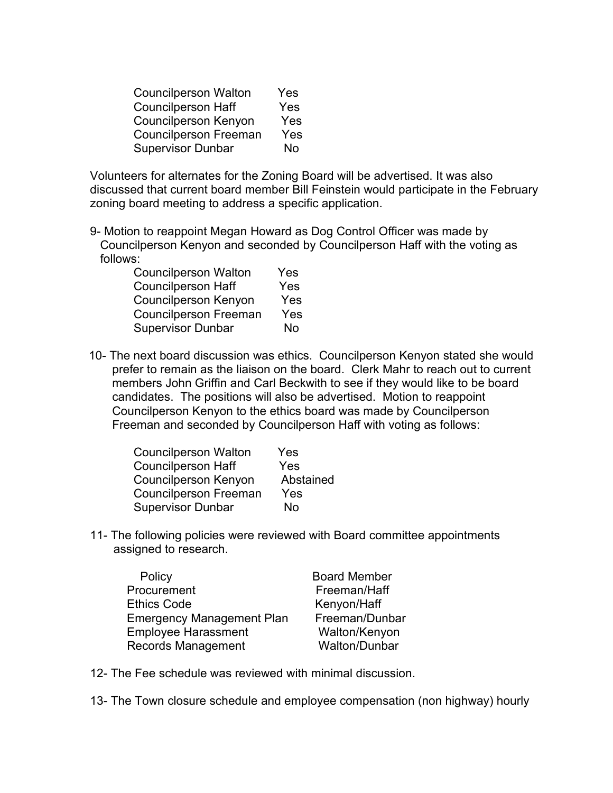| <b>Councilperson Walton</b>  | Yes |
|------------------------------|-----|
| <b>Councilperson Haff</b>    | Yes |
| <b>Councilperson Kenyon</b>  | Yes |
| <b>Councilperson Freeman</b> | Yes |
| <b>Supervisor Dunbar</b>     | No  |

Volunteers for alternates for the Zoning Board will be advertised. It was also discussed that current board member Bill Feinstein would participate in the February zoning board meeting to address a specific application.

9- Motion to reappoint Megan Howard as Dog Control Officer was made by Councilperson Kenyon and seconded by Councilperson Haff with the voting as follows:

| <b>Councilperson Walton</b>  | Yes |
|------------------------------|-----|
| <b>Councilperson Haff</b>    | Yes |
| <b>Councilperson Kenyon</b>  | Yes |
| <b>Councilperson Freeman</b> | Yes |
| <b>Supervisor Dunbar</b>     | No  |

 10- The next board discussion was ethics. Councilperson Kenyon stated she would prefer to remain as the liaison on the board. Clerk Mahr to reach out to current members John Griffin and Carl Beckwith to see if they would like to be board candidates. The positions will also be advertised. Motion to reappoint Councilperson Kenyon to the ethics board was made by Councilperson Freeman and seconded by Councilperson Haff with voting as follows:

| <b>Councilperson Walton</b>  | Yes       |
|------------------------------|-----------|
| <b>Councilperson Haff</b>    | Yes       |
| <b>Councilperson Kenyon</b>  | Abstained |
| <b>Councilperson Freeman</b> | Yes       |
| <b>Supervisor Dunbar</b>     | No        |

11- The following policies were reviewed with Board committee appointments assigned to research.

| Policy                           | <b>Board Member</b> |
|----------------------------------|---------------------|
| Procurement                      | Freeman/Haff        |
| <b>Ethics Code</b>               | Kenyon/Haff         |
| <b>Emergency Management Plan</b> | Freeman/Dunbar      |
| <b>Employee Harassment</b>       | Walton/Kenyon       |
| <b>Records Management</b>        | Walton/Dunbar       |

- 12- The Fee schedule was reviewed with minimal discussion.
- 13- The Town closure schedule and employee compensation (non highway) hourly